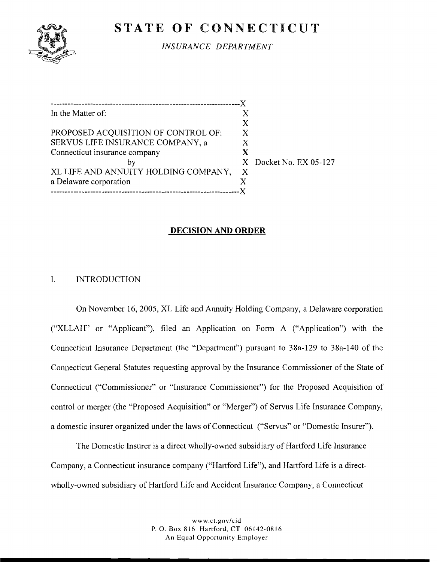# **STATE OF CONNECTICUT**



*INSURANCE DEPARTMENT* 

................................................................... X In the Matter of: X  $\frac{X}{X}$ PROPOSED ACQUISITION OF CONTROL OF: X<br>SERVUS LIFE INSURANCE COMPANY. a X SERVUS LIFE INSURANCE COMPANY, a<br>Connecticut insurance company **X** Connecticut insurance company<br>by X<br>X by  $X$  Docket No. EX 05-127<br>JITY HOLDING COMPANY, X XL LIFE AND ANNUITY HOLDING COMPANY, a Delaware corporation X ................................................................... <sup>X</sup>

### **DECISION AND ORDER**

#### $\mathbf{I}$ . **INTRODUCTION**

On November 16, 2005, XL Life and Annuity Holding Company, a Delaware corporation ("XLLAH" or "Applicant"), filed an Application on Form A ("Application") with the Connecticut Insurance Department (the "Department") pursuant to 38a-129 to 38a-140 of the Connecticut General Statutes requesting approval by the Insurance Commissioner of the State of Connecticut ("Commissioner" or "Insurance Commissioner") for the Proposed Acquisition of control or merger (the "Proposed Acquisition" or "Merger") of Servus Life Insurance Company, a domestic insurer organized under the laws of Connecticut ("Servus" or "Domestic Insurer").

The Domestic Insurer is a direct wholly-owned subsidiary of Hartford Life Insurance Company, a Connecticut insurance company ("Hartford Life"), and Hartford Life is a directwholly-owned subsidiary of Hartford Life and Accident Insurance Company, a Connecticut

> www.ct.gov/cid P. 0. Box 8 16 Hartford, CT 06142-08 16 **An** Equal Opportunity Employer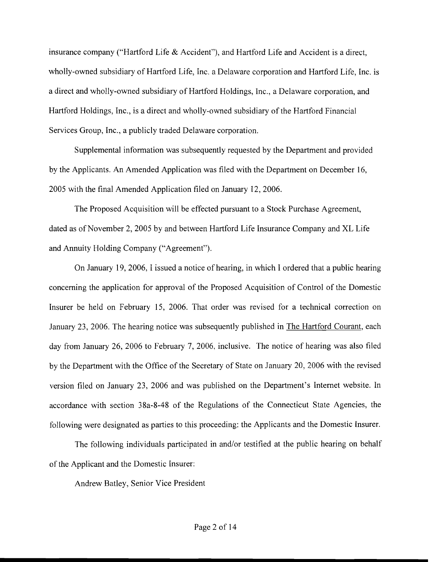insurance company ("Hartford Life & Accident"), and Hartford Life and Accident is a direct, wholly-owned subsidiary of Hartford Life, Inc. a Delaware corporation and Hartford Life, Inc. is a direct and wholly-owned subsidiary of Hartford Holdings, Inc., a Delaware corporation, and Hartford Holdings, Inc., is a direct and wholly-owned subsidiary of the Hartford Financial Services Group, Inc., a publicly traded Delaware corporation.

Supplemental information was subsequently requested by the Department and provided by the Applicants. An Amended Application was filed with the Department on December 16, 2005 with the final Amended Application filed on January 12,2006.

The Proposed Acquisition will be effected pursuant to a Stock Purchase Agreement, dated as of November 2,2005 by and between Hartford Life Insurance Company and XL Life and Annuity Holding Company ("Agreement").

On January 19, 2006, I issued a notice of hearing, in which I ordered that a public hearing concerning the application for approval of the Proposed Acquisition of Control of the Domestic Insurer be held on February 15, 2006. That order was revised for a technical correction on January 23, 2006. The hearing notice was subsequently published in The Hartford Courant, each day from January 26, 2006 to February 7, 2006, inclusive. The notice of hearing was also filed by the Department with the Office of the Secretary of State on January 20, 2006 with the revised version filed on January 23, 2006 and was published on the Department's Internet website. In accordance with section 38a-8-48 of the Regulations of the Connecticut State Agencies, the following were designated as parties to this proceeding: the Applicants and the Domestic Insurer.

The following individuals participated in and/or testified at the public hearing on behalf of the Applicant and the Domestic Insurer:

Andrew Batley, Senior Vice President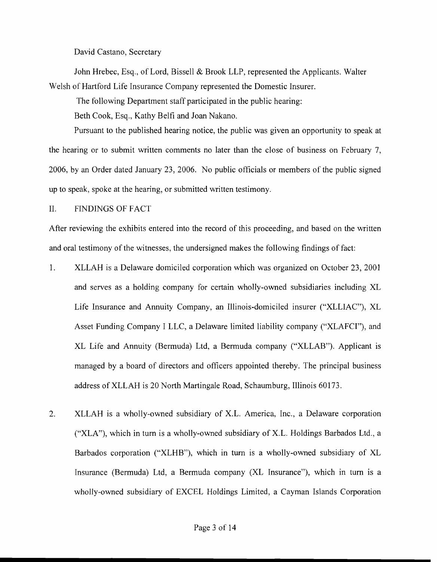David Castano, Secretary

John Hrebec, Esq., of Lord, Bissell & Brook LLP, represented the Applicants. Walter Welsh of Hartford Life Insurance Company represented the Domestic Insurer.

The following Department staff participated in the public hearing:

Beth Cook, Esq., Kathy Belfi and Joan Nakano.

Pursuant to the published hearing notice, the public was given an opportunity to speak at the hearing or to submit written comments no later than the close of business on February 7, 2006, by an Order dated January 23, 2006. No public officials or members of the public signed up to speak, spoke at the hearing, or submitted written testimony.

11. FINDINGS OF FACT

After reviewing the exhibits entered into the record of this proceeding, and based on the written and oral testimony of the witnesses, the undersigned makes the following findings of fact:

- 1. XLLAH is a Delaware domiciled corporation which was organized on October 23, 2001 and serves as a holding company for certain wholly-owned subsidiaries including XL Life Insurance and Annuity Company, an Illinois-domiciled insurer ("XLLIAC"), XL Asset Funding Company I LLC, a Delaware limited liability company ("XLAFCI"), and XL Life and Annuity (Bermuda) Ltd, a Bermuda company ("XLLAB"). Applicant is managed by a board of directors and officers appointed thereby. The principal business address of XLLAH is 20 North Martingale Road, Schaumburg, Illinois 60173.
- 2. XLLAH is a wholly-owned subsidiary of X.L. America, Inc., a Delaware corporation ("XLA"), which in turn is a wholly-owned subsidiary of X.L. Holdings Barbados Ltd., a Barbados corporation ("XLHB"), which in turn is a wholly-owned subsidiary of XL Insurance (Bermuda) Ltd, a Bermuda company (XL Insurance"), which in turn is a wholly-owned subsidiary of EXCEL Holdings Limited, a Cayman Islands Corporation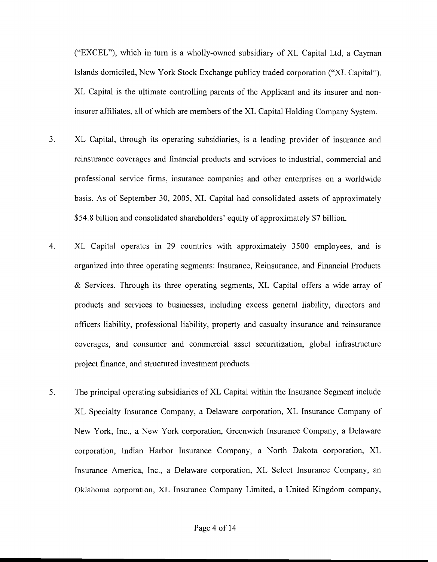("EXCEL"), which in turn is a wholly-owned subsidiary of XL Capital Ltd, a Cayman Islands domiciled, New York Stock Exchange publicy traded corporation ("XL Capital"). XL Capital is the ultimate controlling parents of the Applicant and its insurer and noninsurer affiliates, all of which are members of the XL Capital Holding Company System.

- 3. XL Capital, through its operating subsidiaries, is a leading provider of insurance and reinsurance coverages and financial products and services to industrial, commercial and professional service firms, insurance companies and other enterprises on a worldwide basis. As of September 30, 2005, XL Capital had consolidated assets of approximately \$54.8 billion and consolidated shareholders' equity of approximately \$7 billion.
- 4. XL Capital operates in 29 countries with approximately 3500 employees, and is organized into three operating segments: Insurance, Reinsurance, and Financial Products & Services. Through its three operating segments, XL Capital offers a wide array of products and services to businesses, including excess general liability, directors and officers liability, professional liability, property and casualty insurance and reinsurance coverages, and consumer and commercial asset securitization, global infrastructure project finance, and structured investment products.
- 5. The principal operating subsidiaries of XL Capital within the Insurance Segment include XL Specialty Insurance Company, a Delaware corporation, XL Insurance Company of New York, Inc., a New York corporation, Greenwich Insurance Company, a Delaware corporation, Indian Harbor Insurance Company, a North Dakota corporation, XL Insurance America, Inc., a Delaware corporation, XL Select Insurance Company, an Oklahoma corporation, XL Insurance Company Limited, a United Kingdom company,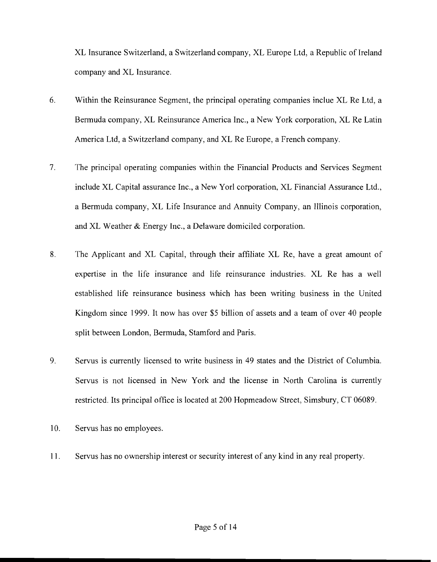XL Insurance Switzerland, a Switzerland company, XL Europe Ltd, a Republic of Ireland company and XL Insurance.

- 6. Within the Reinsurance Segment, the principal operating companies inclue XL Re Ltd, a Bermuda company, XL Reinsurance America Inc., a New York corporation, XL Re Latin America Ltd, a Switzerland company, and XL Re Europe, a French company.
- 7. The principal operating companies within the Financial Products and Services Segment include XL Capital assurance Inc., a New Yorl corporation, XL Financial Assurance Ltd., a Bermuda company, XL Life Insurance and Annuity Company, an Illinois corporation, and XL Weather & Energy Inc., a Delaware domiciled corporation.
- **8.** The Applicant and XL Capital, through their affiliate XL Re, have a great amount of expertise in the life insurance and life reinsurance industries. XL Re has a well established life reinsurance business which has been writing business in the United Kingdom since 1999. It now has over *\$5* billion of assets and a team of over 40 people split between London, Bermuda, Stamford and Paris.
- 9. Servus is currently licensed to write business in 49 states and the District of Columbia. Servus is not licensed in New York and the license in North Carolina is currently restricted. Its principal office is located at 200 Hopmeadow Street, Simsbury, CT 06089.
- 10. Servus has no employees.
- 11. Servus has no ownership interest or security interest of any kind in any real property.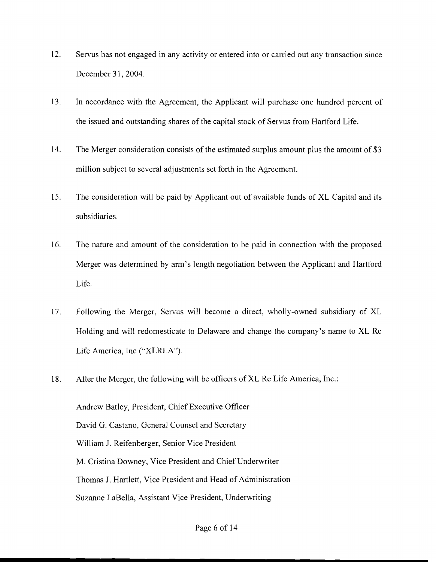- 12. Servus has not engaged in any activity or entered into or carried out any transaction since December 31, 2004.
- 13. In accordance with the Agreement, the Applicant will purchase one hundred percent of the issued and outstanding shares of the capital stock of Servus from Hartford Life.
- 14. The Merger consideration consists of the estimated surplus amount plus the amount of \$3 million subject to several adjustments set forth in the Agreement.
- 15. The consideration will be paid by Applicant out of available funds of XL Capital and its subsidiaries.
- 16. The nature and amount of the consideration to be paid in connection with the proposed Merger was determined by arm's length negotiation between the Applicant and Hartford Life.
- 17. Following the Merger, Servus will become a direct, wholly-owned subsidiary of XL Holding and will redomesticate to Delaware and change the company's name to XL Re Life America, Inc ("XLRLA").
- 18. After the Merger, the following will be officers of XL Re Life America, Inc.:

Andrew Batley, President, Chief Executive Officer David G. Castano, General Counsel and Secretary William J. Reifenberger, Senior Vice President M. Cristina Downey, Vice President and Chief Underwriter Thomas J. Hartlett, Vice President and Head of Administration Suzanne LaBella, Assistant Vice President, Underwriting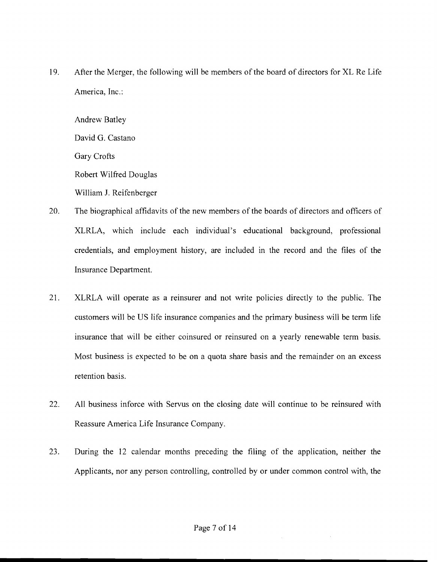19. After the Merger, the following will be members of the board of directors for XL Re Life America, Inc.:

Andrew Batley David G. Castano Gary Crofts Robert Wilfred Douglas William J. Reifenberger

- 20. The biographical affidavits of the new members of the boards of directors and officers of XLRLA, which include each individual's educational background, professional credentials, and employment history, are included in the record and the files of the Insurance Department.
- 21. XLRLA will operate as a reinsurer and not write policies directly to the public. The customers will be US life insurance companies and the primary business will be term life insurance that will be either coinsured or reinsured on a yearly renewable term basis. Most business is expected to be on a quota share basis and the remainder on an excess retention basis.
- 22. All business inforce with Servus on the closing date will continue to be reinsured with Reassure America Life Insurance Company.
- 23. During the 12 calendar months preceding the filing of the application, neither the Applicants, nor any person controlling, controlled by or under common control with, the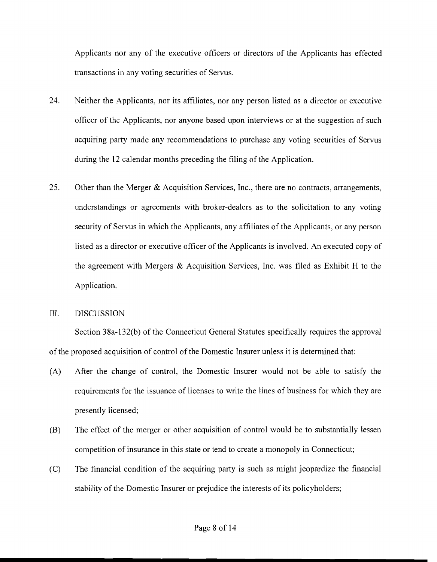Applicants nor any of the executive officers or directors of the Applicants has effected transactions in any voting securities of Servus.

- 24. Neither the Applicants, nor its affiliates, nor any person listed as a director or executive officer of the Applicants, nor anyone based upon interviews or at the suggestion of such acquiring party made any recommendations to purchase any voting securities of Servus during the 12 calendar months preceding the filing of the Application.
- 25. Other than the Merger & Acquisition Services, Inc., there are no contracts, arrangements, understandings or agreements with broker-dealers as to the solicitation to any voting security of Servus in which the Applicants, any affiliates of the Applicants, or any person listed as a director or executive officer of the Applicants is involved. An executed copy of the agreement with Mergers & Acquisition Services, Inc. was filed as Exhibit H to the Application.

#### 111. DISCUSSION

Section 38a-132(b) of the Connecticut General Statutes specifically requires the approval of the proposed acquisition of control of the Domestic Insurer unless it is determined that:

- (A) After the change of control, the Domestic Insurer would not be able to satisfy the requirements for the issuance of licenses to write the lines of business for which they are presently licensed;
- (B) The effect of the merger or other acquisition of control would be to substantially lessen competition of insurance in this state or tend to create a monopoly in Connecticut;
- (C) The financial condition of the acquiring party is such as might jeopardize the financial stability of the Domestic Insurer or prejudice the interests of its policyholders;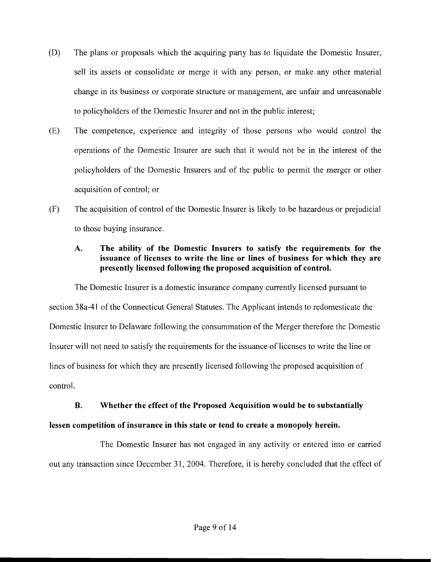- (D) The plans or proposals which the acquiring party has to liquidate the Domestic Insurer, sell its assets or consolidate or merge it with any person, or make any other material change in its business or corporate structure or management, are unfair and unreasonable to policyholders of the Domestic Insurer and not in the public interest;
- (E) The competence, experience and integrity of those persons who would control the operations of the Domestic Insurer are such that it would not be in the interest of the policyholders of the Domestic Insurers and of the public to permit the merger or other acquisition of control; or
- (F) The acquisition of control of the Domestic Insurer is likely to be hazardous or prejudicial to those buying insurance.

# **A. The ability of the Domestic Insurers to satisfy the requirements for the issuance of licenses to write the line or lines of business for which they are presently licensed following the proposed acquisition of control.**

The Domestic Insurer is a domestic insurance company currently licensed pursuant to section 38a-41 of the Connecticut General Statutes. The Applicant intends to redomesticate the Domestic Insurer to Delaware following the consummation of the Merger therefore the Domestic Insurer will not need to satisfy the requirements for the issuance of licenses to write the line or lines of business for which they are presently licensed following the proposed acquisition of control.

## **B. Whether the effect of the Proposed Acquisition would be to substantially**

# **lessen competition of insurance in this state or tend to create a monopoly herein.**

The Domestic Insurer has not engaged in any activity or entered into or carried out any transaction since December 31, 2004. Therefore, it is hereby concluded that the effect of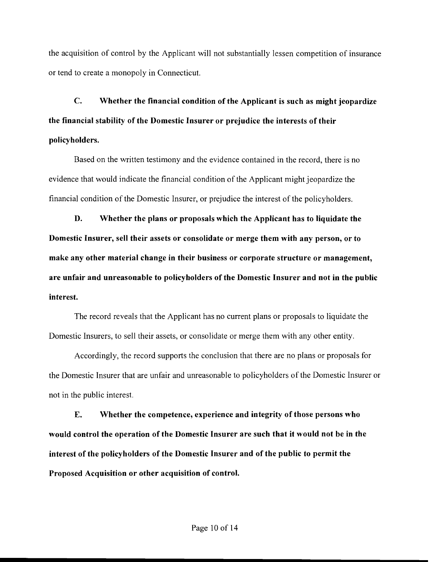the acquisition of control by the Applicant will not substantially lessen competition of insurance or tend to create a monopoly in Connecticut.

**C.** Whether the financial condition of the Applicant is such as might jeopardize the financial stability of the Domestic Insurer or prejudice the interests of their policyholders.

Based on the written testimony and the evidence contained in the record, there is no evidence that would indicate the financial condition of the Applicant might jeopardize the financial condition of the Domestic Insurer, or prejudice the interest of the policyholders.

D. Whether the plans or proposals which the Applicant has to liquidate the Domestic Insurer, sell their assets or consolidate or merge them with any person, or to make any other material change in their business or corporate structure or management, are unfair and unreasonable to policyholders of the Domestic Insurer and not in the public interest.

The record reveals that the Applicant has no current plans or proposals to liquidate the Domestic Insurers, to sell their assets, or consolidate or merge them with any other entity.

Accordingly, the record supports the conclusion that there are no plans or proposals for the Domestic Insurer that are unfair and unreasonable to policyholders of the Domestic Insurer or not in the public interest.

**E.** Whether the competence, experience and integrity of those persons who would control the operation of the Domestic Insurer are such that it would not be in the interest of the policyholders of the Domestic Insurer and of the public to permit the Proposed Acquisition or other acquisition of control.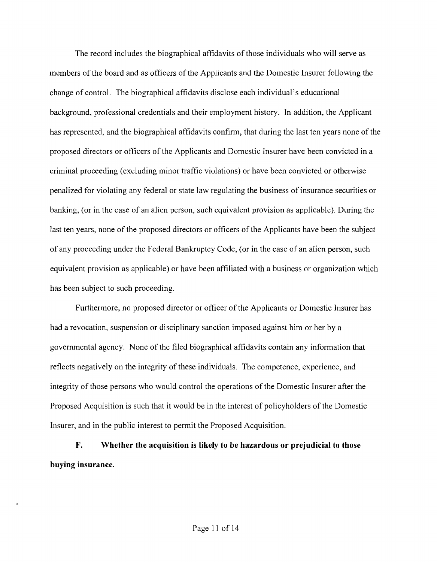The record includes the biographical affidavits of those individuals who will serve as members of the board and as officers of the Applicants and the Domestic Insurer following the change of control. The biographical affidavits disclose each individual's educational background, professional credentials and their employment history. In addition, the Applicant has represented, and the biographical affidavits confirm, that during the last ten years none of the proposed directors or officers of the Applicants and Domestic Insurer have been convicted in a criminal proceeding (excluding minor traffic violations) or have been convicted or otherwise penalized for violating any federal or state law regulating the business of insurance securities or banking, (or in the case of an alien person, such equivalent provision as applicable). During the last ten years, none of the proposed directors or officers of the Applicants have been the subject of any proceeding under the Federal Bankruptcy Code, (or in the case of an alien person, such equivalent provision as applicable) or have been affiliated with a business or organization which has been subject to such proceeding.

Furthermore, no proposed director or officer of the Applicants or Domestic Insurer has had a revocation, suspension or disciplinary sanction imposed against him or her by a governmental agency. None of the filed biographical affidavits contain any information that reflects negatively on the integrity of these individuals. The competence, experience, and integrity of those persons who would control the operations of the Domestic Insurer after the Proposed Acquisition is such that it would be in the interest of policyholders of the Domestic Insurer, and in the public interest to permit the Proposed Acquisition.

**F. Whether the acquisition is likely to be hazardous or prejudicial to those buying insurance.**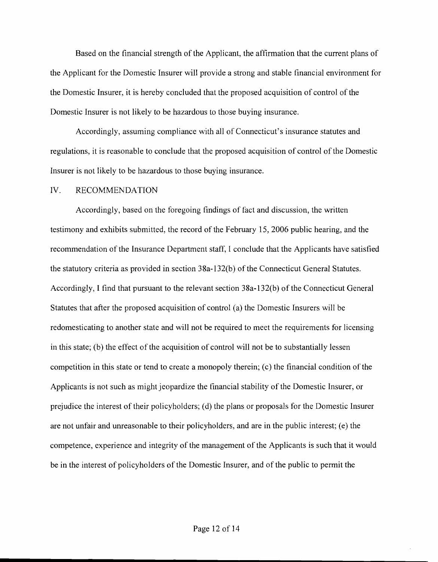Based on the tinancial strength of the Applicant, the affirmation that the current plans of the Applicant for the Domestic Insurer will provide a strong and stable financial environment for the Domestic Insurer, it is hereby concluded that the proposed acquisition of control of the Domestic Insurer is not likely to be hazardous to those buying insurance.

Accordingly, assuming compliance with all of Connecticut's insurance statutes and regulations, it is reasonable to conclude that the proposed acquisition of control of the Domestic Insurer is not likely to be hazardous to those buying insurance.

#### IV. RECOMMENDATION

Accordingly, based on the foregoing findings of fact and discussion, the written testimony and exhibits submitted, the record of the February 15, 2006 public hearing, and the recommendation of the Insurance Department staff, I conclude that the Applicants have satisfied the statutory criteria as provided in section 38a-132(b) of the Connecticut General Statutes. Accordingly, I find that pursuant to the relevant section 38a-132(b) of the Connecticut General Statutes that after the proposed acquisition of control (a) the Domestic Insurers will be redomesticating to another state and will not be required to meet the requirements for licensing in this state; (b) the effect of the acquisition of control will not be to substantially lessen competition in this state or tend to create a monopoly therein; (c) the financial condition of the Applicants is not such as might jeopardize the financial stability of the Domestic Insurer, or prejudice the interest of their policyholders; (d) the plans or proposals for the Domestic Insurer are not unfair and unreasonable to their policyholders, and are in the public interest; (e) the competence, experience and integrity of the management of the Applicants is such that it would be in the interest of policyholders of the Domestic Insurer, and of the public to permit the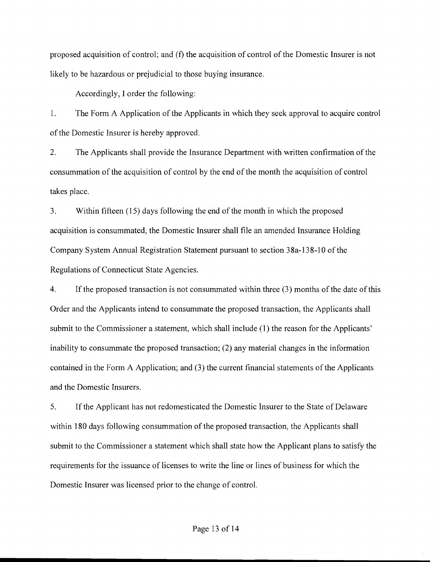proposed acquisition of control; and **(f)** the acquisition of control of the Domestic Insurer is not likely to be hazardous or prejudicial to those buying insurance.

Accordingly, I order the following:

1. The Form A Application of the Applicants in which they seek approval to acquire control of the Domestic Insurer is hereby approved.

2. The Applicants shall provide the Insurance Department with written confirmation of the consummation of the acquisition of control by the end of the month the acquisition of control takes place.

3. Within fifteen (15) days following the end of the month in which the proposed acquisition is consummated, the Domestic Insurer shall file an amended Insurance Holding Company System Annual Registration Statement pursuant to section 3 8a- 13 8- 10 of the Regulations of Connecticut State Agencies.

4. If the proposed transaction is not consummated within three (3) months of the date of this Order and the Applicants intend to consummate the proposed transaction, the Applicants shall submit to the Commissioner a statement, which shall include (1) the reason for the Applicants' inability to consummate the proposed transaction; (2) any material changes in the information contained in the Form A Application; and (3) the current financial statements of the Applicants and the Domestic Insurers.

5. If the Applicant has not redomesticated the Domestic Insurer to the State of Delaware within 180 days following consummation of the proposed transaction, the Applicants shall submit to the Commissioner a statement which shall state how the Applicant plans to satisfy the requirements for the issuance of licenses to write the line or lines of business for which the Domestic Insurer was licensed prior to the change of control.